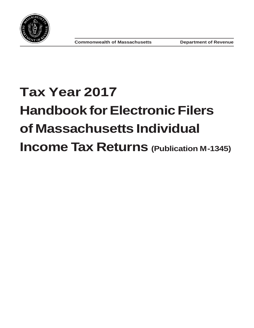<span id="page-0-0"></span>

# **Tax Year 2017 Handbook for Electronic Filers of Massachusetts Individual Income Tax Returns (Publication M-1345)**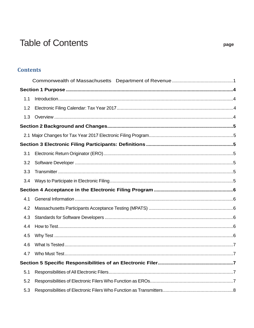# **Table of Contents**

| 1.1 |  |
|-----|--|
| 1.2 |  |
| 1.3 |  |
|     |  |
|     |  |
|     |  |
| 3.1 |  |
| 3.2 |  |
| 3.3 |  |
| 3.4 |  |
|     |  |
| 4.1 |  |
| 4.2 |  |
| 4.3 |  |
| 4.4 |  |
| 4.5 |  |
| 4.6 |  |
| 4.7 |  |
|     |  |
| 5.1 |  |
| 5.2 |  |
| 5.3 |  |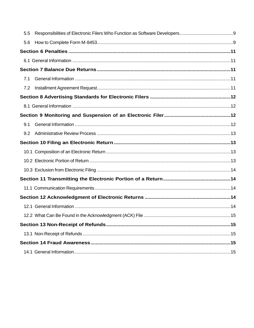| 5.5 |  |
|-----|--|
| 5.6 |  |
|     |  |
|     |  |
|     |  |
| 7.1 |  |
| 7.2 |  |
|     |  |
|     |  |
|     |  |
| 9.1 |  |
| 9.2 |  |
|     |  |
|     |  |
|     |  |
|     |  |
|     |  |
|     |  |
|     |  |
|     |  |
|     |  |
|     |  |
|     |  |
|     |  |
|     |  |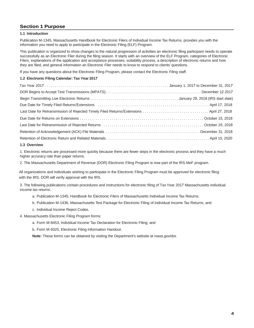# <span id="page-3-0"></span>**Section 1 Purpose**

#### <span id="page-3-1"></span>**1.1 Introduction**

Publication M-1345, Massachusetts Handbook for Electronic Filers of Individual Income Tax Returns, provides you with the information you need to apply to participate in the Electronic Filing (ELF) Program.

This publication is organized to show changes to the natural progression of activities an electronic filing participant needs to operate successfully as an Electronic Filer during the filing season. It starts with an overview of the ELF Program, categories of Electronic Filers, explanations of the application and acceptance processes, suitability process, a description of electronic returns and how they are filed, and general information an Electronic Filer needs to know to respond to clients' questions.

If you have any questions about the Electronic Filing Program, please contact the Electronic Filing staff.

#### <span id="page-3-2"></span>**1.2 Electronic Filing Calendar: Tax Year 2017**

#### <span id="page-3-3"></span>**1.3 Overview**

1. Electronic returns are processed more quickly because there are fewer steps in the electronic process and they have a much higher accuracy rate than paper returns.

2. The Massachusetts Department of Revenue (DOR) Electronic Filing Program is now part of the IRS MeF program.

All organizations and individuals wishing to participate in the Electronic Filing Program must be approved for electronic filing with the IRS. DOR will verify approval with the IRS.

3. The following publications contain procedures and instructions for electronic filing of Tax Year 2017 Massachusetts individual income tax returns:

- a. Publication M-1345, Handbook for Electronic Filers of Massachusetts Individual Income Tax Returns;
- b. Publication M-1436, Massachusetts Test Package for Electronic Filing of Individual Income Tax Returns; and
- c. Individual Income Reject Codes.

4. Massachusetts Electronic Filing Program forms:

a. Form M-8453, Individual Income Tax Declaration for Electronic Filing; and

b. Form M-9325, Electronic Filing Information Handout.

**Note:** These forms can be obtained by visiting the Department's website at mass.gov/dor.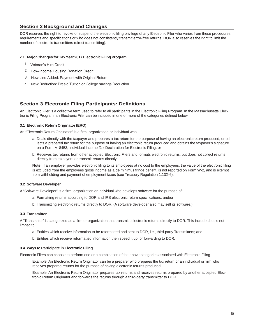# <span id="page-4-0"></span>**Section 2 Background and Changes**

DOR reserves the right to revoke or suspend the electronic filing privilege of any Electronic Filer who varies from these procedures, requirements and specifications or who does not consistently transmit error-free returns. DOR also reserves the right to limit the number of electronic transmitters (direct transmitting).

#### <span id="page-4-1"></span>**2.1 Major Changes for Tax Year 2017 Electronic Filing Program**

- 1 Veteran's Hire Credit
- 2. Low-Income Housing Donation Credit
- 3. New Line Added: Payment with Original Return
- 4. New Deduction: Preaid Tuition or College savings Deduction

# <span id="page-4-2"></span>**Section 3 Electronic Filing Participants: Definitions**

An Electronic Filer is a collective term used to refer to all participants in the Electronic Filing Program. In the Massachusetts Electronic Filing Program, an Electronic Filer can be included in one or more of the categories defined below.

#### <span id="page-4-3"></span>**3.1 Electronic Return Originator (ERO)**

An "Electronic Return Originator" is a firm, organization or individual who:

- a. Deals directly with the taxpayer and prepares a tax return for the purpose of having an electronic return produced, or collects a prepared tax return for the purpose of having an electronic return produced and obtains the taxpayer's signature on a Form M-8453, Individual Income Tax Declaration for Electronic Filing; or
- b. Receives tax returns from other accepted Electronic Filers and formats electronic returns, but does not collect returns directly from taxpayers or transmit returns directly.

Note: If an employer provides electronic filing to its employees at no cost to the employees, the value of the electronic filing is excluded from the employees gross income as a de minimus fringe benefit, is not reported on Form W-2, and is exempt from withholding and payment of employment taxes (see Treasury Regulation 1.132-6).

#### <span id="page-4-4"></span>**3.2 Software Developer**

A "Software Developer" is a firm, organization or individual who develops software for the purpose of:

- a. Formatting returns according to DOR and IRS electronic return specifications; and/or
- b. Transmitting electronic returns directly to DOR. (A software developer also may sell its software.)

#### <span id="page-4-5"></span>**3.3 Transmitter**

A "Transmitter" is categorized as a firm or organization that transmits electronic returns directly to DOR. This includes but is not limited to:

- a. Entities which receive information to be reformatted and sent to DOR, i.e., third-party Transmitters; and
- b. Entities which receive reformatted information then speed it up for forwarding to DOR.

#### <span id="page-4-6"></span>**3.4 Ways to Participate in Electronic Filing**

Electronic Filers can choose to perform one or a combination of the above categories associated with Electronic Filing.

Example: An Electronic Return Originator can be a preparer who prepares the tax return or an individual or firm who receives prepared returns for the purpose of having electronic returns produced.

Example: An Electronic Return Originator prepares tax returns and receives returns prepared by another accepted Electronic Return Originator and forwards the returns through a third-party transmitter to DOR.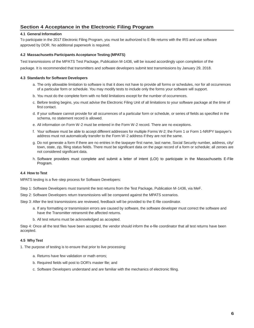# <span id="page-5-0"></span>**Section 4 Acceptance in the Electronic Filing Program**

#### <span id="page-5-1"></span>**4.1 General Information**

To participate in the 2017 Electronic Filing Program, you must be authorized to E-file returns with the IRS and use software approved by DOR. No additional paperwork is required.

#### <span id="page-5-2"></span>**4.2 Massachusetts Participants Acceptance Testing (MPATS)**

Test transmissions of the MPATS Test Package, Publication M-1436, will be issued accordingly upon completion of the

package. It is recommended that transmitters and software developers submit test transmissions by January 29, 2018.

#### <span id="page-5-3"></span>**4.3 Standards for Software Developers**

- a. The only allowable limitation to software is that it does not have to provide all forms or schedules, nor for all occurrences of a particular form or schedule. You may modify tests to include only the forms your software will support.
- b. You must do the complete form with no field limitations except for the number of occurrences.
- c. Before testing begins, you must advise the Electronic Filing Unit of all limitations to your software package at the time of first contact.
- d. If your software cannot provide for all occurrences of a particular form or schedule, or series of fields as specified in the schema, no statement record is allowed.
- e. All information on Form W-2 must be entered in the Form W-2 record. There are no exceptions.
- f. Your software must be able to accept different addresses for multiple Forms W-2; the Form 1 or Form 1-NR/PY taxpayer's address must not automatically transfer to the Form W-2 address if they are not the same.
- g. Do not generate a form if there are no entries in the taxpayer first name, last name, Social Security number, address, city/ town, state, zip, filing status fields. There must be significant data on the page record of a form or schedule; all zeroes are not considered significant data.
- h. Software providers must complete and submit a letter of intent (LOI) to participate in the Massachusetts E-File Program.

#### <span id="page-5-4"></span>**4.4 How to Test**

MPATS testing is a five-step process for Software Developers:

- Step 1: Software Developers must transmit the test returns from the Test Package, Publication M-1436, via MeF.
- Step 2: Software Developers return transmissions will be compared against the MPATS scenarios.
- Step 3: After the test transmissions are reviewed, feedback will be provided to the E-file coordinator.
	- a. If any formatting or transmission errors are caused by software, the software developer must correct the software and have the Transmitter retransmit the affected returns.
	- b. All test returns must be acknowledged as accepted.

Step 4: Once all the test files have been accepted, the vendor should inform the e-file coordinator that all test returns have been accepted.

#### <span id="page-5-5"></span>**4.5 Why Test**

1. The purpose of testing is to ensure that prior to live processing:

- a. Returns have few validation or math errors;
- b. Required fields will post to DOR's master file; and
- c. Software Developers understand and are familiar with the mechanics of electronic filing.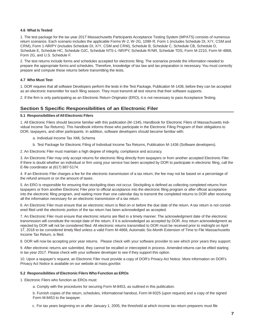#### <span id="page-6-0"></span>**4.6 What Is Tested**

1. The test package for the tax year 2017 Massachusetts Participants Acceptance Testing System (MPATS) consists of numerous return scenarios. Each scenario includes the applicable Forms W-2, W-2G, 1099-R, Form 1 (includes Schedule DI, X/Y, CSM and CRM), Form 1-NR/PY (includes Schedule DI, X/Y, CSM and CRM), Schedule B, Schedule C, Schedule CB, Schedule D, Schedule E, Schedule HC, Schedule OJC, Schedule NTS-L-NR/PY, Schedule R/NR, Schedule TDS, Form M-2210, Form M-4868, Form 2G, and U.S. Schedule F.

2. The test returns include forms and schedules accepted for electronic filing. The scenarios provide the information needed to prepare the appropriate forms and schedules. Therefore, knowledge of tax law and tax preparation is necessary. You must correctly prepare and compute these returns before transmitting the tests.

#### <span id="page-6-1"></span>**4.7 Who Must Test**

1. DOR requires that all software Developers perform the tests in the Test Package, Publication M-1436, before they can be accepted as an electronic transmitter for each filing season. They must transmit all test returns that their software supports.

2. If the firm is only participating as an Electronic Return Originator (ERO), it is not necessary to pass Acceptance Testing.

#### <span id="page-6-2"></span>**Section 5 Specific Responsibilities of an Electronic Filer**

#### <span id="page-6-3"></span>**5.1 Responsibilities of All Electronic Filers**

1. All Electronic Filers should become familiar with this publication (M-1345, Handbook for Electronic Filers of Massachusetts Individual Income Tax Returns). This handbook informs those who participate in the Electronic Filing Program of their obligations to DOR, taxpayers, and other participants. In addition, software developers should become familiar with:

- a. Individual Income Tax XML Schema
- b. Test Package for Electronic Filing of Individual Income Tax Returns, Publication M-1436 (Software developers).

2. An Electronic Filer must maintain a high degree of integrity, compliance and accuracy.

3. An Electronic Filer may only accept returns for electronic filing directly from taxpayers or from another accepted Electronic Filer. If there is doubt whether an individual or firm using your service has been accepted by DOR to participate in electronic filing, call the E-file coordinator at (617) 887-5174.

4. If an Electronic Filer charges a fee for the electronic transmission of a tax return, the fee may not be based on a percentage of the refund amount or on the amount of taxes.

5. An ERO is responsible for ensuring that stockpiling does not occur. Stockpiling is defined as collecting completed returns from taxpayers or from another Electronic Filer prior to official acceptance into the electronic filing program or after official acceptance into the electronic filing program, and waiting more than one calendar day to transmit the completed returns to DOR after receiving all the information necessary for an electronic transmission of a tax return.

6. An Electronic Filer must ensure that an electronic return is filed on or before the due date of the return. A tax return is not considered filed until the electronic portion of the tax return has been acknowledged as accepted.

7. An Electronic Filer must ensure that electronic returns are filed in a timely manner. The acknowledgment date of the electronic transmission will constitute the receipt date of the return, if it is acknowledged as accepted by DOR. Any return acknowledgment as rejected by DOR will not be considered filed. All electronic returns transmitted to DOR must be received prior to midnight on April 17, 2018 to be considered timely filed unless a valid Form M-4868, Automatic Six-Month Extension of Time to File Massachusetts Income Tax Return, is filed.

8. DOR will now be accepting prior year returns. Please check with your software provider to see which prior years they support.

9. After electronic returns are submitted, they cannot be recalled or intercepted in process. Amended returns can be efiled starting in tax year 2017. Please check with your software developer to see if they support this option.

10. Upon a taxpayer's request, an Electronic Filer must provide a copy of DOR's Privacy Act Notice. More information on DOR's Privacy Act Notice is available on our website at mass.gov/dor.

#### <span id="page-6-4"></span>**5.2 Responsibilities of Electronic Filers Who Function as EROs**

1. Electronic Filers who function as EROs must:

a. Comply with the procedures for securing Form M-8453, as outlined in this publication.

b. Furnish copies of the return, schedules, informational handout, Form M-9325 (upon request) and a copy of the signed Form M-8453 to the taxpayer.

c. For tax years beginning on or after January 1, 2005, the threshold at which income tax return preparers must file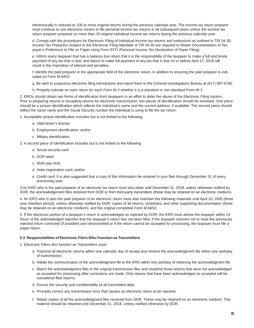electronically is reduced to 100 or more original returns during the previous calendar year. The income tax return preparer must continue to use electronic means to file personal income tax returns in all subsequent years unless the income tax return preparer prepared no more than 25 original individual income tax returns during the previous calendar year.

d. Comply with the procedures for Electronic Filing of Individual Income tax returns and extensions as outlined in TIR 04-30. Income Tax Preparers Subject to the Electronic Filing Mandate of TIR 04-30 are required to Retain Documentation of Taxpayer's Preference to File on Paper using Form EFO (Personal Income Tax Declaration of Paper Filing).

e. Inform every taxpayer that has a balance due return that it is the responsibility of the taxpayer to make a full and timely payment of any tax that is due, and failure to make full payment of any tax that is due on or before April 17, 2018 will result in the imposition of interest and penalties.

f. Identify the paid preparer in the appropriate field of the electronic return, in addition to ensuring the paid preparer is indicated on Form M-8453.

g. Be alert to suspicious electronic filing transactions and report them to the Criminal Investigations Bureau at (617) 887-6780.

h. Properly indicate on each return for each Form W-2 whether it is a standard or non-standard Form W-2.

2. EROs should obtain two forms of identification from taxpayers in an effort to deter the abuse of the Electronic Filing system. Prior to preparing returns or accepting returns for electronic transmission, two pieces of identification should be reviewed. One piece should be a picture identification which reflects the individual's name and the current address, if available. The second piece should reflect the same name and the Social Security number the individual is using to file the tax return.

1. Acceptable picture identification includes but is not limited to the following:

- a. Valid driver's license;
- b. Employment identification; and/or
- c. Military identification.

2. A second piece of identification includes but is not limited to the following:

- a. Social security card;
- b. DOR label;
- c. Work pay stub;
- d. Voter registration card; and/or
- e. Credit card. It is also suggested that a copy of this information be retained in your files through December 31 of every processing year.

3.An ERO who is the paid preparer of an electronic tax return must also retain until December 31, 2018, unless otherwise notified by DOR, the acknowledgement files received from DOR or from third-party transmitters (these may be retained on an electronic medium).

4. An ERO who is also the paid preparer of an electronic return must also maintain the following materials until April 15, 2020 (three year retention period), unless otherwise notified by DOR: copies of all returns, schedules, and other supporting documentation (these may be retained on an electronic medium); and the original completed Form M-8453.

5. If the electronic portion of a taxpayer's return is acknowledged as rejected by DOR, the ERO must advise the taxpayer within 24 hours of the acknowledged rejection that the taxpayer's return has not been filed. If the taxpayer chooses not to have the previously rejected return corrected (if possible) and retransmitted or if the return cannot be accepted for processing, the taxpayer must file a paper return.

#### <span id="page-7-0"></span>**5.3 Responsibilities of Electronic Filers Who Function as Transmitters**

1. Electronic Filers who function as Transmitters must:

- a. Transmit all electronic returns within one calendar day of receipt and retrieve the acknowledgment file within one workday of transmission.
- b. Initiate the communication of the acknowledgment file to the ERO within one workday of retrieving the acknowledgment file.
- c. Match the acknowledgment files to the original transmission files and resubmit those returns that were not acknowledged as accepted for processing after corrections are made. Only returns that have been acknowledged as accepted will be considered filed returns.
- d. Ensure the security and confidentiality of all transmitted data.
- e. Promptly correct any transmission error that causes an electronic return to be rejected.
- f. Retain copies of all the acknowledgment files received from DOR. These may be retained on an electronic medium. This material should be retained until December 31, 2018, unless notified otherwise by DOR.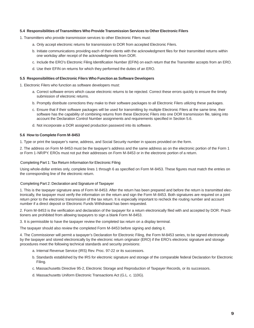#### **5.4 Responsibilities of Transmitters Who Provide Transmission Services to Other Electronic Filers**

- 1. Transmitters who provide transmission services to other Electronic Filers must:
	- a. Only accept electronic returns for transmission to DOR from accepted Electronic Filers.
	- b. Initiate communications providing each of their clients with the acknowledgment files for their transmitted returns within one workday after receipt of the acknowledgments from DOR.
	- c. Include the ERO's Electronic Filing Identification Number (EFIN) on each return that the Transmitter accepts from an ERO.
	- d. Use their EFIN on returns for which they performed the duties of an ERO.

#### <span id="page-8-0"></span>**5.5 Responsibilities of Electronic Filers Who Function as Software Developers**

1. Electronic Filers who function as software developers must:

- a. Correct software errors which cause electronic returns to be rejected. Correct these errors quickly to ensure the timely submission of electronic returns.
- b. Promptly distribute corrections they make to their software packages to all Electronic Filers utilizing these packages.
- c. Ensure that if their software packages will be used for transmitting by multiple Electronic Filers at the same time, their software has the capability of combining returns from these Electronic Filers into one DOR transmission file, taking into account the Declaration Control Number assignments and requirements specified in Section 5.6.
- d. Not incorporate a DOR assigned production password into its software.

#### <span id="page-8-1"></span>**5.6 How to Complete Form M-8453**

1. Type or print the taxpayer's name, address, and Social Security number in spaces provided on the form.

2. The address on Form M-8453 must be the taxpayer's address and the same address as on the electronic portion of the Form 1 or Form 1-NR/PY. EROs must not put their addresses on Form M-8453 or in the electronic portion of a return.

#### Completing Part 1: Tax Return Information for Electronic Filing

Using whole-dollar entries only, complete lines 1 through 6 as specified on Form M-8453. These figures must match the entries on the corresponding line of the electronic return.

#### Completing Part 2: Declaration and Signature of Taxpayer

1. This is the taxpayer signature area of Form M-8453. After the return has been prepared and before the return is transmitted electronically, the taxpayer must verify the information on the return and sign the Form M-8453. Both signatures are required on a joint return prior to the electronic transmission of the tax return. It is especially important to recheck the routing number and account number if a direct deposit or Electronic Funds Withdrawal has been requested.

2. Form M-8453 is the verification and declaration of the taxpayer for a return electronically filed with and accepted by DOR. Practitioners are prohibited from allowing taxpayers to sign a blank Form M-8453.

3. It is permissible to have the taxpayer review the completed tax return on a display terminal.

The taxpayer should also review the completed Form M-8453 before signing and dating it.

4. The Commissioner will permit a taxpayer's Declaration for Electronic Filing, the Form M-8453 series, to be signed electronically by the taxpayer and stored electronically by the electronic return originator (ERO) if the ERO's electronic signature and storage procedures meet the following technical standards and security provisions:

- a. Internal Revenue Service (IRS) Rev. Proc. 97-22 or its successors.
- b. Standards established by the IRS for electronic signature and storage of the comparable federal Declaration for Electronic Filing.
- c. Massachusetts Directive 95-2, Electronic Storage and Reproduction of Taxpayer Records, or its successors.
- d. Massachusetts Uniform Electronic Transactions Act (G.L. c. 110G).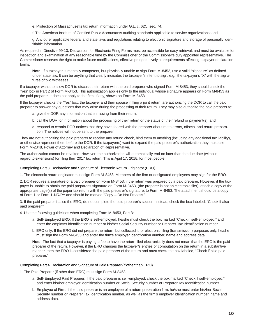e. Protection of Massachusetts tax return information under G.L. c. 62C, sec. 74.

f. The American Institute of Certified Public Accountants auditing standards applicable to service organizations; and

g. Any other applicable federal and state laws and regulations relating to electronic signature and storage of personally identifiable information.

As required in Directive 99-13, Declaration for Electronic Filing Forms must be accessible for easy retrieval, and must be available for inspection and examination at any reasonable time by the Commissioner or the Commissioner's duly appointed representative. The Commissioner reserves the right to make future modifications, effective prospec- tively, to requirements affecting taxpayer declaration forms.

**Note:** If a taxpayer is mentally competent, but physically unable to sign Form M-8453, use a valid "signature" as defined under state law. It can be anything that clearly indicates the taxpayer's intent to sign, e.g., the taxpayer's "X" with the signatures of two witnesses.

If a taxpayer wants to allow DOR to discuss their return with the paid preparer who signed Form M-8453, they should check the "Yes" box in Part 2 of Form M-8453. This authorization applies only to the individual whose signature appears on Form M-8453 as the paid preparer. It does not apply to the firm, if any, shown on Form M-8453.

If the taxpayer checks the "Yes" box, the taxpayer and their spouse if filing a joint return, are authorizing the DOR to call the paid preparer to answer any questions that may arise during the processing of their return. They may also authorize the paid preparer to:

- a. give the DOR any information that is missing from their return,
- b. call the DOR for information about the processing of their return or the status of their refund or payment(s), and
- c. respond to certain DOR notices that they have shared with the preparer about math errors, offsets, and return preparation. The notices will not be sent to the preparer.

They are not authorizing the paid preparer to receive any refund check, bind them to anything (including any additional tax liability), or otherwise represent them before the DOR. If the taxpayer(s) want to expand the paid preparer's authorization they must use Form M-2848, Power of Attorney and Declaration of Representative.

The authorization cannot be revoked. However, the authorization will automatically end no later than the due date (without regard to extensions) for filing their 2017 tax return. This is April 17, 2018, for most people.

#### Completing Part 3: Declaration and Signature of Electronic Return Originator (ERO)

1. The electronic return originator must sign Form M-8453. Members of the firm or designated employees may sign for the ERO.

2. DOR requires a signature of a paid preparer on Form M-8453, if the return was prepared by a paid preparer. However, if the taxpayer is unable to obtain the paid preparer's signature on Form M-8453, (the preparer is not an electronic filer), attach a copy of the appropriate page(s) of the paper tax return with the paid preparer's signature, to Form M-8453. The attachment should be a copy of Form 1 or Form 1-NR/PY and should be marked "Copy – Do Not Process."

3. If the paid preparer is also the ERO, do not complete the paid preparer's section. Instead, check the box labeled, "Check if also paid preparer."

4. Use the following guidelines when completing Form M-8453, Part 3:

- a. Self-Employed ERO: If the ERO is self-employed, he/she must check the box marked "Check if self-employed," and enter the employer identification number or his/her Social Security number or Preparer Tax Identification number.
- b. ERO only: If the ERO did not prepare the return, but collected it for electronic filing (transmission) purposes only, he/she must sign the Form M-8453 and enter the firm's employer identification number, name and address data.

**Note:** The fact that a taxpayer is paying a fee to have the return filed electronically does not mean that the ERO is the paid preparer of the return. However, if the ERO changes the taxpayer's entries or computation on the return in a substantive manner, then the ERO is considered the paid preparer of the return and must check the box labeled, "Check if also paid preparer."

#### Completing Part 4: Declaration and Signature of Paid Preparer (if other than ERO)

1. The Paid Preparer (if other than ERO) must sign Form M-8453:

- a. Self-Employed Paid Preparer: If the paid preparer is self-employed, check the box marked "Check if self-employed," and enter his/her employer identification number or Social Security number or Preparer Tax Identification number.
- b. Employee of Firm: If the paid preparer is an employee of a return preparation firm, he/she must enter his/her Social Security number or Preparer Tax Identification number, as well as the firm's employer identification number, name and address data.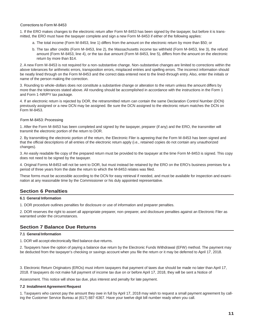#### Corrections to Form M-8453

1. If the ERO makes changes to the electronic return after Form M-8453 has been signed by the taxpayer, but before it is transmitted, the ERO must have the taxpayer complete and sign a new Form M-8453 if either of the following applies:

- a. The total income (Form M-8453, line 1) differs from the amount on the electronic return by more than \$50; or
- b. The tax after credits (Form M-8453, line 2), the Massachusetts income tax withheld (Form M-8453, line 3), the refund amount (Form M-8453, line 4), or the tax due amount (Form M-8453, line 5), differs from the amount on the electronic return by more than \$14.

2. A new Form M-8453 is not required for a non-substantive change. Non-substantive changes are limited to corrections within the above tolerances for arithmetic errors, transposition errors, misplaced entries and spelling errors. The incorrect information should be neatly lined through on the Form M-8453 and the correct data entered next to the lined-through entry. Also, enter the initials or name of the person making the correction.

3. Rounding to whole-dollars does not constitute a substantive change or alteration to the return unless the amount differs by more than the tolerances stated above. All rounding should be accomplished in accordance with the instructions in the Form 1 and Form 1-NR/PY tax package.

4. If an electronic return is rejected by DOR, the retransmitted return can contain the same Declaration Control Number (DCN) previously assigned or a new DCN may be assigned. Be sure the DCN assigned to the electronic return matches the DCN on Form M-8453.

#### Form M-8453: Processing

1. After the Form M-8453 has been completed and signed by the taxpayer, preparer (if any) and the ERO, the transmitter will transmit the electronic portion of the return to DOR.

2. By transmitting the electronic portion of the return, the Electronic Filer is agreeing that the Form M-8453 has been signed and that the official descriptions of all entries of the electronic return apply (i.e., retained copies do not contain any unauthorized changes).

3. An easily readable file copy of the prepared return must be provided to the taxpayer at the time Form M-8453 is signed. This copy does not need to be signed by the taxpayer.

4. Original Forms M-8453 will not be sent to DOR, but must instead be retained by the ERO on the ERO's business premises for a period of three years from the date the return to which the M-8453 relates was filed.

These forms must be accessible according to the DCN for easy retrieval if needed, and must be available for inspection and examination at any reasonable time by the Commissioner or his duly appointed representative.

# <span id="page-10-0"></span>**Section 6 Penalties**

#### <span id="page-10-1"></span>**6.1 General Information**

1. DOR procedure outlines penalties for disclosure or use of information and preparer penalties.

2. DOR reserves the right to assert all appropriate preparer, non-preparer, and disclosure penalties against an Electronic Filer as warranted under the circumstances.

# <span id="page-10-2"></span>**Section 7 Balance Due Returns**

#### <span id="page-10-3"></span>**7.1 General Information**

1. DOR will accept electronically filed balance due returns.

2. Taxpayers have the option of paying a balance due return by the Electronic Funds Withdrawal (EFW) method. The payment may be deducted from the taxpayer's checking or savings account when you file the return or it may be deferred to April 17, 2018.

3. Electronic Return Originators (EROs) must inform taxpayers that payment of taxes due should be made no later than April 17, 2018. If taxpayers do not make full payment of income tax due on or before April 17, 2018, they will be sent a Notice of

Assessment. This notice will show tax due, plus interest and penalty for late payment.

#### <span id="page-10-4"></span>**7.2 Installment Agreement Request**

1. Taxpayers who cannot pay the amount they owe in full by April 17, 2018 may wish to request a small payment agreement by calling the Customer Service Bureau at (617) 887-6367. Have your twelve digit bill number ready when you call.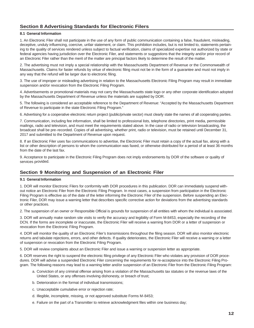# <span id="page-11-0"></span>**Section 8 Advertising Standards for Electronic Filers**

#### <span id="page-11-1"></span>**8.1 General Information**

1. An Electronic Filer shall not participate in the use of any form of public communication containing a false, fraudulent, misleading, deceptive, unduly influencing, coercive, unfair statement, or claim. This prohibition includes, but is not limited to, statements pertaining to the quality of services rendered unless subject to factual verification, claims of specialized expertise not authorized by state or federal agencies having jurisdiction over the Electronic Filer, and statements or suggestions that the integrity and/or prior record of an Electronic Filer rather than the merit of the matter are principal factors likely to determine the result of the matter.

2. The advertising must not imply a special relationship with the Massachusetts Department of Revenue or the Commonwealth of Massachusetts. Claims for faster refunds by virtue of electronic filing must not be in the form of a guarantee and must not imply in any way that the refund will be larger due to electronic filing.

3. The use of improper or misleading advertising in relation to the Massachusetts Electronic Filing Program may result in immediate suspension and/or revocation from the Electronic Filing Program.

4. Advertisements or promotional materials may not carry the Massachusetts state logo or any other corporate identification adopted by the Massachusetts Department of Revenue unless the materials are supplied by DOR.

5. The following is considered an acceptable reference to the Department of Revenue: "Accepted by the Massachusetts Department of Revenue to participate in the state Electronic Filing Program."

6. Advertising for a cooperative electronic return project (public/private sector) must clearly state the names of all cooperating parties.

7. Communication, including fee information, shall be limited to professional lists, telephone directories, print media, permissible mailings, radio and television, and must meet the requirements stated above. In the case of radio or television broadcasting, the broadcast shall be pre-recorded. Copies of all advertising, whether print, radio or television, must be retained until December 31, 2017 and submitted to the Department of Revenue upon request.

8. If an Electronic Filer uses fax communications to advertise, the Electronic Filer must retain a copy of the actual fax, along with a list or other description of persons to whom the communication was faxed, or otherwise distributed for a period of at least 36 months from the date of the last fax.

9. Acceptance to participate in the Electronic Filing Program does not imply endorsements by DOR of the software or quality of services provided.

# <span id="page-11-2"></span>**Section 9 Monitoring and Suspension of an Electronic Filer**

#### <span id="page-11-3"></span>**9.1 General Information**

1. DOR will monitor Electronic Filers for conformity with DOR procedures in this publication. DOR can immediately suspend without notice an Electronic Filer from the Electronic Filing Program. In most cases, a suspension from participation in the Electronic Filing Program is effective as of the date of the letter informing the Electronic Filer of the suspension. Before suspending an Electronic Filer, DOR may issue a warning letter that describes specific corrective action for deviations from the advertising standards or other practices.

2. The suspension of an owner or Responsible Official is grounds for suspension of all entities with whom the individual is associated.

3. DOR will annually make random site visits to verify the accuracy and legibility of Form M-8453, especially the recording of the DCN. If the forms are incomplete or inaccurate, the Electronic Filer will receive a warning from DOR or a letter of suspension or revocation from the Electronic Filing Program.

4. DOR will monitor the quality of an Electronic Filer's transmissions throughout the filing season. DOR will also monitor electronic returns and tabulate rejections, errors, and other defects. If quality deteriorates, the Electronic Filer will receive a warning or a letter of suspension or revocation from the Electronic Filing Program.

5. DOR will review complaints about an Electronic Filer and issue a warning or suspension letter as appropriate.

6. DOR reserves the right to suspend the electronic filing privilege of any Electronic Filer who violates any provision of DOR procedures. DOR will advise a suspended Electronic Filer concerning the requirements for re-acceptance into the Electronic Filing Program. The following reasons may lead to a warning letter and/or suspension of an Electronic Filer from the Electronic Filing Program:

- a. Conviction of any criminal offense arising from a violation of the Massachusetts tax statutes or the revenue laws of the United States, or any offenses involving dishonesty, or breach of trust;
- b. Deterioration in the format of individual transmissions;
- c. Unacceptable cumulative error or rejection rate;
- d. Illegible, incomplete, missing, or not approved substitute Forms M-8453;
- e. Failure on the part of a Transmitter to retrieve acknowledgment files within one business day;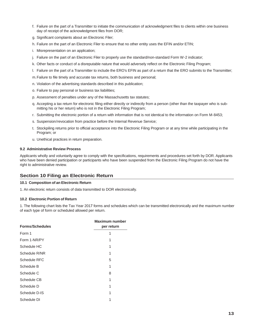- f. Failure on the part of a Transmitter to initiate the communication of acknowledgment files to clients within one business day of receipt of the acknowledgment files from DOR;
- g. Significant complaints about an Electronic Filer;
- h. Failure on the part of an Electronic Filer to ensure that no other entity uses the EFIN and/or ETIN;
- i. Misrepresentation on an application;
- j. Failure on the part of an Electronic Filer to properly use the standard/non-standard Form W-2 indicator;
- k. Other facts or conduct of a disreputable nature that would adversely reflect on the Electronic Filing Program;
- l. Failure on the part of a Transmitter to include the ERO's EFIN as part of a return that the ERO submits to the Transmitter;
- m.Failure to file timely and accurate tax returns, both business and personal;
- n. Violation of the advertising standards described in this publication;
- o. Failure to pay personal or business tax liabilities;
- p. Assessment of penalties under any of the Massachusetts tax statutes;
- q. Accepting a tax return for electronic filing either directly or indirectly from a person (other than the taxpayer who is submitting his or her return) who is not in the Electronic Filing Program;
- r. Submitting the electronic portion of a return with information that is not identical to the information on Form M-8453;
- s. Suspension/revocation from practice before the Internal Revenue Service;
- t. Stockpiling returns prior to official acceptance into the Electronic Filing Program or at any time while participating in the Program; or
- u. Unethical practices in return preparation.

#### <span id="page-12-0"></span>**9.2 Administrative Review Process**

Applicants wholly and voluntarily agree to comply with the specifications, requirements and procedures set forth by DOR. Applicants who have been denied participation or participants who have been suspended from the Electronic Filing Program do not have the right to administrative review.

# <span id="page-12-1"></span>**Section 10 Filing an Electronic Return**

#### <span id="page-12-2"></span>**10.1 Composition of an Electronic Return**

1. An electronic return consists of data transmitted to DOR electronically.

#### <span id="page-12-3"></span>**10.2 Electronic Portion of Return**

1. The following chart lists the Tax Year 2017 forms and schedules which can be transmitted electronically and the maximum number of each type of form or scheduled allowed per return.

| <b>Forms/Schedules</b> | <b>Maximum number</b><br>per return |
|------------------------|-------------------------------------|
| Form 1                 | 1                                   |
| Form 1-NR/PY           | 1                                   |
| Schedule HC            | 1                                   |
| Schedule R/NR          | 1                                   |
| Schedule RFC           | 5                                   |
| Schedule B             | 1                                   |
| Schedule C             | 8                                   |
| Schedule CB            | 1                                   |
| Schedule D             | 1                                   |
| Schedule D-IS          | 1                                   |
| Schedule DI            |                                     |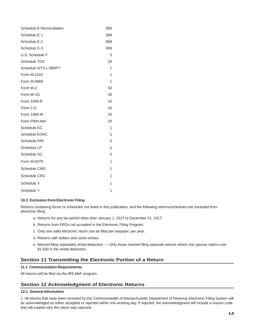| Schedule E Reconciliation | 999 |
|---------------------------|-----|
| Schedule E-1              | 999 |
| Schedule E-2              | 999 |
| Schedule E-3              | 999 |
| U.S. Schedule F           | 5   |
| <b>Schedule TDS</b>       | 20  |
| Schedule NTS-L-NR/PY      | 1   |
| Form M-2210               | 1   |
| Form M-4868               | 1   |
| Form W-2                  | 50  |
| Form W-2G                 | 30  |
| Form 1099-R               | 20  |
| Form 2-G                  | 10  |
| Form 1099-M               | 20  |
| Form PWH-WA               | 20  |
| Schedule EC               | 1   |
| Schedule EOAC             | 1   |
| <b>Schedule FAF</b>       | 5   |
| Schedule LP               | 1   |
| Schedule SC               | 5   |
| Form M-8379               | 1   |
| <b>Schedule CMS</b>       | 1   |
| <b>Schedule CRS</b>       | 1   |
| Schedule X                | 1   |
| Schedule Y                | 1   |

#### <span id="page-13-0"></span>**10.3 Exclusion from Electronic Filing**

Returns containing forms or schedules not listed in this publication, and the following returns/schedules are excluded from electronic filing:

- a. Returns for any tax period other than January 1, 2017 to December 31, 2017.
- b. Returns from EROs not accepted in the Electronic Filing Program.
- c. Only one valid electronic return can be filed per taxpayer, per year.
- d. Returns with dollars and cents entries.
- e. Married filing separately rental deduction Only those married filing separate returns where one spouse claims over \$1,500 in the rental deduction.

# <span id="page-13-1"></span>**Section 11 Transmitting the Electronic Portion of a Return**

#### <span id="page-13-2"></span>**11.1 Communication Requirements**

All returns will be filed via the IRS MeF program.

# <span id="page-13-3"></span>**Section 12 Acknowledgment of Electronic Returns**

#### <span id="page-13-4"></span>**12.1 General Information**

1. All returns that have been received by the Commonwealth of Massachusetts Department of Revenue Electronic Filing System will be acknowledged as either accepted or rejected within one working day. If rejected, the acknowledgment will include a reason code that will explain why the return was rejected.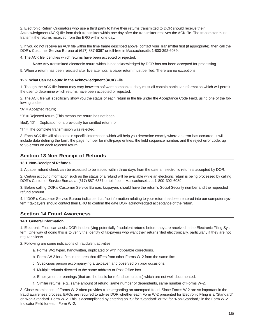2. Electronic Return Originators who use a third party to have their returns transmitted to DOR should receive their Acknowledgment (ACK) file from their transmitter within one day after the transmitter receives the ACK file. The transmitter must transmit the returns received from the ERO within one day.

3. If you do not receive an ACK file within the time frame described above, contact your Transmitter first (if appropriate), then call the DOR's Customer Service Bureau at (617) 887-6367 or toll-free in Massachusetts 1-800-392-6089.

4. The ACK file identifies which returns have been accepted or rejected.

**Note:** Any transmitted electronic return which is not acknowledged by DOR has not been accepted for processing.

5. When a return has been rejected after five attempts, a paper return must be filed. There are no exceptions.

#### <span id="page-14-0"></span>**12.2 What Can Be Found in the Acknowledgment (ACK) File**

1. Though the ACK file format may vary between software companies, they must all contain particular information which will permit the user to determine which returns have been accepted or rejected.

2. The ACK file will specifically show you the status of each return in the file under the Acceptance Code Field, using one of the following codes:

"A" = Accepted return;

"R" = Rejected return (This means the return has not been

filed); "D" = Duplication of a previously transmitted return; or

"T" = The complete transmission was rejected.

3. Each ACK file will also contain specific information which will help you determine exactly where an error has occurred. It will include data defining the form, the page number for multi-page entries, the field sequence number, and the reject error code, up to 96 errors on each rejected return.

# <span id="page-14-1"></span>**Section 13 Non-Receipt of Refunds**

#### <span id="page-14-2"></span>**13.1 Non-Receipt of Refunds**

1. A paper refund check can be expected to be issued within three days from the date an electronic return is accepted by DOR.

2. Certain account information such as the status of a refund will be available while an electronic return is being processed by calling DOR's Customer Service Bureau at (617) 887-6367 or toll-free in Massachusetts at 1-800-392-6089.

3. Before calling DOR's Customer Service Bureau, taxpayers should have the return's Social Security number and the requested refund amount.

4. If DOR's Customer Service Bureau indicates that "no information relating to your return has been entered into our computer system," taxpayers should contact their ERO to confirm the date DOR acknowledged acceptance of the return.

# <span id="page-14-3"></span>**Section 14 Fraud Awareness**

#### <span id="page-14-4"></span>**14.1 General Information**

1. Electronic Filers can assist DOR in identifying potentially fraudulent returns before they are received in the Electronic Filing System. One way of doing this is to verify the identity of taxpayers who want their returns filed electronically, particularly if they are not regular clients.

2. Following are some indications of fraudulent activities:

- a. Forms W-2 typed, handwritten, duplicated or with noticeable corrections.
- b. Forms W-2 for a firm in the area that differs from other Forms W-2 from the same firm.
- c. Suspicious person accompanying a taxpayer, and observed on prior occasions.
- d. Multiple refunds directed to the same address or Post Office box.
- e. Employment or earnings (that are the basis for refundable credits) which are not well-documented.
- f. Similar returns, e.g., same amount of refund; same number of dependents, same number of Forms W-2.

3. Close examination of Forms W-2 often provides clues regarding an attempted fraud. Since Forms W-2 are so important in the fraud awareness process, EROs are required to advise DOR whether each Form W-2 presented for Electronic Filing is a "Standard" or "Non-Standard" Form W-2. This is accomplished by entering an "S" for "Standard" or "N" for "Non-Standard," in the Form W-2 Indicator Field for each Form W-2.